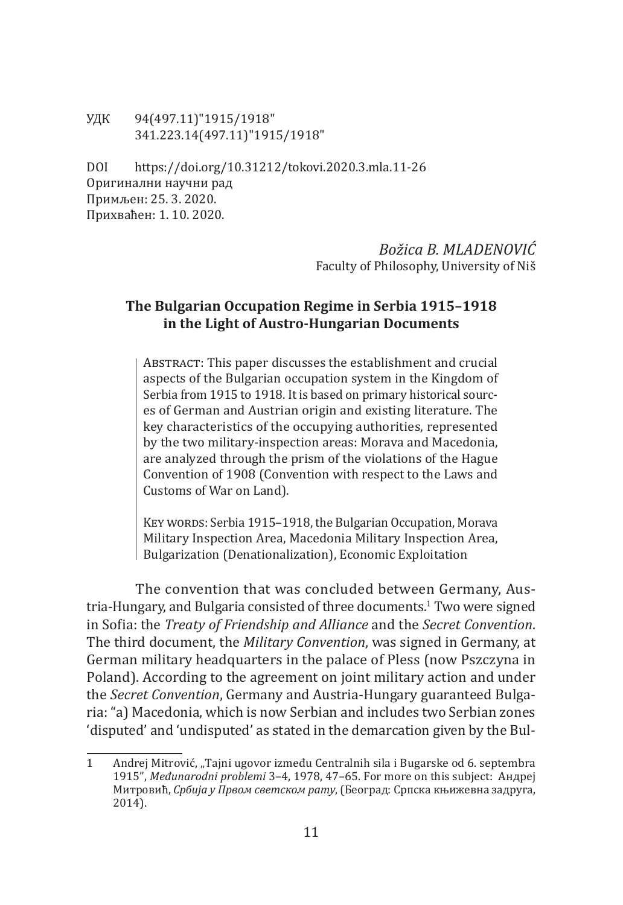УДК 94(497.11)"1915/1918" 341.223.14(497.11)"1915/1918"

DOI https://doi.org/10.31212/tokovi.2020.3.mla.11-26 Оригинални научни рад Примљен: 25. 3. 2020. Прихваћен: 1. 10. 2020.

## *Božica B. MLADENOVIĆ* Faculty of Philosophy, University of Niš

# **The Bulgarian Occupation Regime in Serbia 1915–1918 in the Light of Austro-Hungarian Documents**

Abstract: This paper discusses the establishment and crucial aspects of the Bulgarian occupation system in the Kingdom of Serbia from 1915 to 1918. It is based on primary historical sources of German and Austrian origin and existing literature. The key characteristics of the occupying authorities, represented by the two military-inspection areas: Morava and Macedonia, are analyzed through the prism of the violations of the Hague Convention of 1908 (Convention with respect to the Laws and Customs of War on Land).

KEY WORDS: Serbia 1915–1918, the Bulgarian Occupation, Morava Military Inspection Area, Macedonia Military Inspection Area, Bulgarization (Denationalization), Economic Exploitation

The convention that was concluded between Germany, Austria-Hungary, and Bulgaria consisted of three documents.1 Two were signed in Sofia: the *Treaty of Friendship and Alliance* and the *Secret Convention*. The third document, the *Military Convention*, was signed in Germany, at German military headquarters in the palace of Pless (now Pszczyna in Poland). According to the agreement on joint military action and under the *Secret Convention*, Germany and Austria-Hungary guaranteed Bulgaria: "a) Macedonia, which is now Serbian and includes two Serbian zones 'disputed' and 'undisputed' as stated in the demarcation given by the Bul-

<sup>1</sup> Andrej Mitrović, "Tajni ugovor između Centralnih sila i Bugarske od 6. septembra 1915", *Međunarodni problemi* 3–4, 1978, 47–65. For more on this subject: Aндреј Митровић, *Србија у Првом светском рату*, (Београд: Српска књижевна задруга, 2014).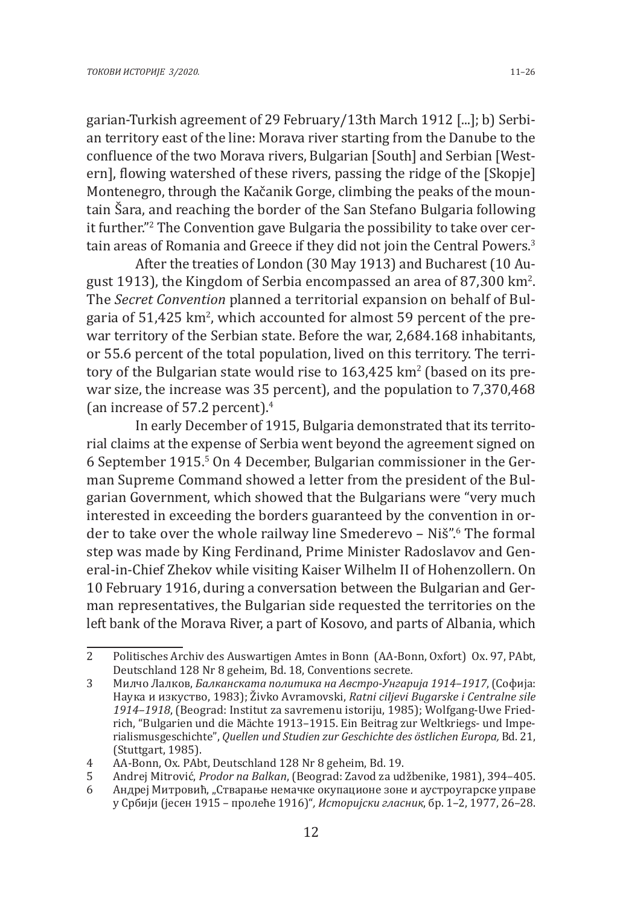garian-Turkish agreement of 29 February/13th March 1912 [...]; b) Serbian territory east of the line: Morava river starting from the Danube to the confluence of the two Morava rivers, Bulgarian [South] and Serbian [Western], flowing watershed of these rivers, passing the ridge of the [Skopje] Montenegro, through the Kačanik Gorge, climbing the peaks of the mountain Šara, and reaching the border of the San Stefano Bulgaria following it further."<sup>2</sup> The Convention gave Bulgaria the possibility to take over certain areas of Romania and Greece if they did not join the Central Powers.<sup>3</sup>

After the treaties of London (30 May 1913) and Bucharest (10 August 1913), the Kingdom of Serbia encompassed an area of 87,300 km<sup>2</sup>. The *Secret Convention* planned a territorial expansion on behalf of Bulgaria of  $51,\!425$  km $^2$ , which accounted for almost  $59$  percent of the prewar territory of the Serbian state. Before the war, 2,684.168 inhabitants, or 55.6 percent of the total population, lived on this territory. The territory of the Bulgarian state would rise to  $163,\!425$  km $^{\prime}$  (based on its prewar size, the increase was 35 percent), and the population to 7,370,468 (an increase of 57.2 percent). $4$ 

In early December of 1915, Bulgaria demonstrated that its territorial claims at the expense of Serbia went beyond the agreement signed on 6 September 1915.<sup>5</sup> On 4 December, Bulgarian commissioner in the German Supreme Command showed a letter from the president of the Bulgarian Government, which showed that the Bulgarians were "very much interested in exceeding the borders guaranteed by the convention in order to take over the whole railway line Smederevo – Niš".<sup>6</sup> The formal step was made by King Ferdinand, Prime Minister Radoslavov and General-in-Chief Zhekov while visiting Kaiser Wilhelm II of Hohenzollern. On 10 February 1916, during a conversation between the Bulgarian and German representatives, the Bulgarian side requested the territories on the left bank of the Morava River, a part of Kosovo, and parts of Albania, which

<sup>2</sup> Politisches Archiv des Auswartigen Amtes in Bonn (AA-Bonn, Oxfort) Ox. 97, PAbt, Deutschland 128 Nr 8 geheim, Bd. 18, Conventions secrete*.*

<sup>3</sup> Милчо Лалков, *Балканската политика на Австро-Унгарија 1914–1917*, (Софија: Наука и изкуство, 1983); Živko Avramovski, *Ratni ciljevi Bugarske i Centralne sile 1914–1918*, (Beograd: Institut za savremenu istoriju, 1985); Wolfgang-Uwe Friedrich, "Bulgarien und die Mächte 1913–1915. Ein Beitrag zur Weltkriegs- und Imperialismusgeschichte", *Quellen und Studien zur Geschichte des östlichen Europa,* Bd. 21, (Stuttgart, 1985).

<sup>4</sup> AA-Bonn, Ox. PAbt, Deutschland 128 Nr 8 geheim, Bd. 19.<br>5 Andrei Mitrović. Prodor na Balkan. (Beograd: Zavod za ud

<sup>5</sup> Andrej Mitrović, *Prodor na Balkan*, (Beograd: Zavod za udžbenike, 1981), 394–405.

<sup>6</sup> Андреј Митровић, "Стварање немачке окупационе зоне и аустроугарске управе у Србији (јесен 1915 – пролеће 1916)"*, Историјски гласник*, бр. 1–2, 1977, 26–28.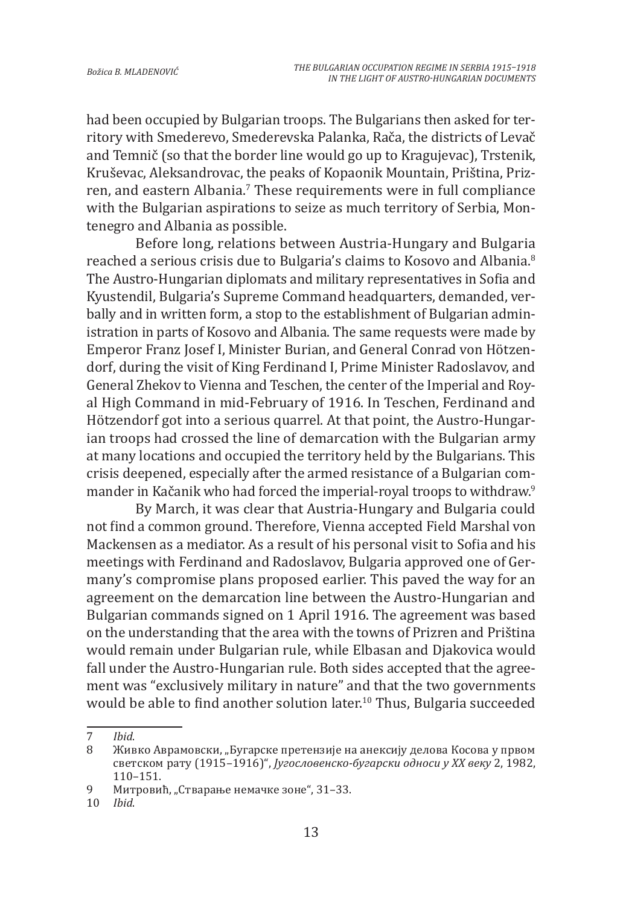had been occupied by Bulgarian troops. The Bulgarians then asked for territory with Smederevo, Smederevska Palanka, Rača, the districts of Levač and Temnič (so that the border line would go up to Kragujevac), Trstenik, Kruševac, Aleksandrovac, the peaks of Kopaonik Mountain, Priština, Prizren, and eastern Albania.' These requirements were in full compliance with the Bulgarian aspirations to seize as much territory of Serbia, Montenegro and Albania as possible.

Before long, relations between Austria-Hungary and Bulgaria reached a serious crisis due to Bulgaria's claims to Kosovo and Albania.<sup>8</sup> The Austro-Hungarian diplomats and military representatives in Sofia and Kyustendil, Bulgaria's Supreme Command headquarters, demanded, verbally and in written form, a stop to the establishment of Bulgarian administration in parts of Kosovo and Albania. The same requests were made by Emperor Franz Josef I, Minister Burian, and General Conrad von Hötzendorf, during the visit of King Ferdinand I, Prime Minister Radoslavov, and General Zhekov to Vienna and Teschen, the center of the Imperial and Royal High Command in mid-February of 1916. In Teschen, Ferdinand and Hötzendorf got into a serious quarrel. At that point, the Austro-Hungarian troops had crossed the line of demarcation with the Bulgarian army at many locations and occupied the territory held by the Bulgarians. This crisis deepened, especially after the armed resistance of a Bulgarian commander in Kačanik who had forced the imperial-royal troops to withdraw.<sup>9</sup>

By March, it was clear that Austria-Hungary and Bulgaria could not find a common ground. Therefore, Vienna accepted Field Marshal von Mackensen as a mediator. As a result of his personal visit to Sofia and his meetings with Ferdinand and Radoslavov, Bulgaria approved one of Germany's compromise plans proposed earlier. This paved the way for an agreement on the demarcation line between the Austro-Hungarian and Bulgarian commands signed on 1 April 1916. The agreement was based on the understanding that the area with the towns of Prizren and Priština would remain under Bulgarian rule, while Elbasan and Djakovica would fall under the Austro-Hungarian rule. Both sides accepted that the agreement was "exclusively military in nature" and that the two governments would be able to find another solution later.<sup>10</sup> Thus, Bulgaria succeeded

<sup>7</sup> *Ibid.*<br>8 Жив

Живко Аврамовски, "Бугарске претензије на анексију делова Косова у првом светском рату (1915–1916)", *Југословенско-бугарски односи у XX веку* 2, 1982, 110–151.

<sup>9</sup> Митровић, "Стварање немачке зоне", 31–33.

<sup>10</sup> *Ibid*.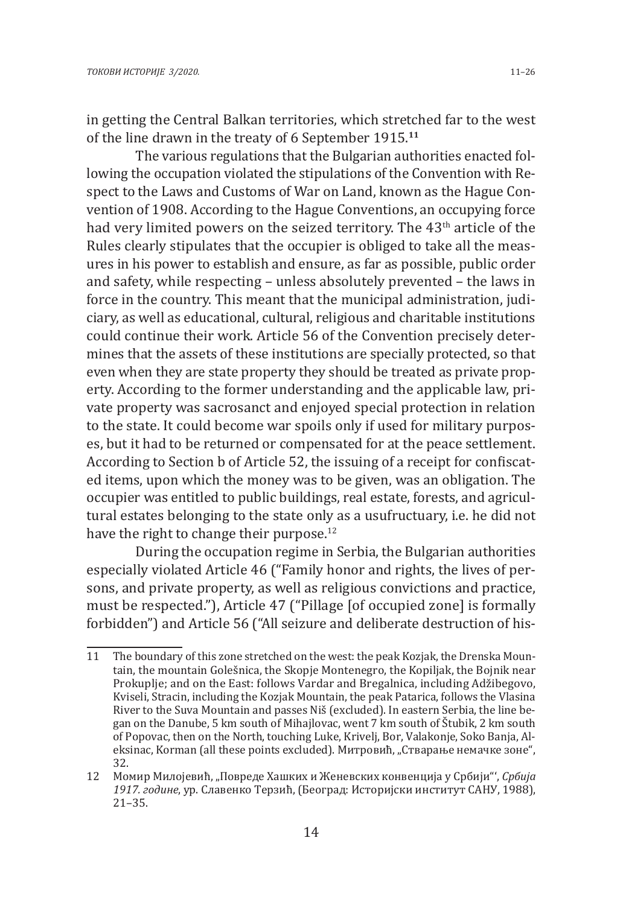in getting the Central Balkan territories, which stretched far to the west of the line drawn in the treaty of 6 September 1915.**<sup>11</sup>**

The various regulations that the Bulgarian authorities enacted following the occupation violated the stipulations of the Convention with Respect to the Laws and Customs of War on Land, known as the Hague Convention of 1908. According to the Hague Conventions, an occupying force had very limited powers on the seized territory. The 43<sup>th</sup> article of the Rules clearly stipulates that the occupier is obliged to take all the measures in his power to establish and ensure, as far as possible, public order and safety, while respecting – unless absolutely prevented – the laws in force in the country. This meant that the municipal administration, judiciary, as well as educational, cultural, religious and charitable institutions could continue their work. Article 56 of the Convention precisely determines that the assets of these institutions are specially protected, so that even when they are state property they should be treated as private property. According to the former understanding and the applicable law, private property was sacrosanct and enjoyed special protection in relation to the state. It could become war spoils only if used for military purposes, but it had to be returned or compensated for at the peace settlement. According to Section b of Article 52, the issuing of a receipt for confiscated items, upon which the money was to be given, was an obligation. The occupier was entitled to public buildings, real estate, forests, and agricultural estates belonging to the state only as a usufructuary, i.e. he did not have the right to change their purpose.<sup>12</sup>

During the occupation regime in Serbia, the Bulgarian authorities especially violated Article 46 ("Family honor and rights, the lives of persons, and private property, as well as religious convictions and practice, must be respected."), Article 47 ("Pillage [of occupied zone] is formally forbidden") and Article 56 ("All seizure and deliberate destruction of his-

<sup>11</sup> The boundary of this zone stretched on the west: the peak Kozjak, the Drenska Mountain, the mountain Golešnica, the Skopje Montenegro, the Kopiljak, the Bojnik near Prokuplje; and on the East: follows Vardar and Bregalnica, including Adžibegovo, Kviseli, Stracin, including the Kozjak Mountain, the peak Patarica, follows the Vlasina River to the Suva Mountain and passes Niš (excluded). In eastern Serbia, the line began on the Danube, 5 km south of Mihajlovac, went 7 km south of Štubik, 2 km south of Popovac, then on the North, touching Luke, Krivelj, Bor, Valakonje, Soko Banja, Aleksinac, Korman (all these points excluded). Митровић, "Стварање немачке зоне", 32.

<sup>12</sup> Момир Милојевић, "Повреде Хашких и Женевских конвенција у Србији"', *Србија 1917. године*, ур. Славенко Терзић, (Београд: Историјски институт САНУ, 1988), 21–35.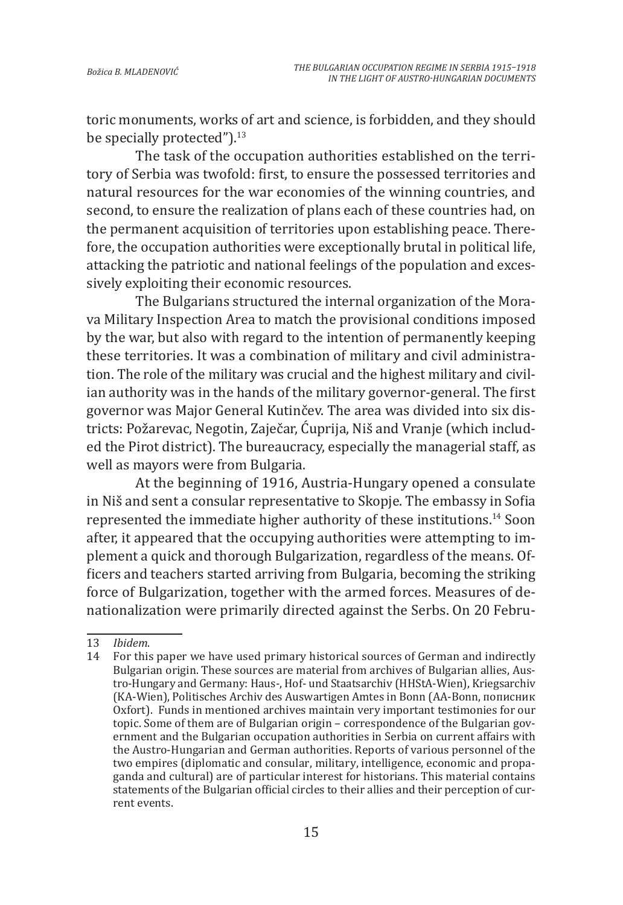toric monuments, works of art and science, is forbidden, and they should be specially protected").<sup>13</sup>

The task of the occupation authorities established on the territory of Serbia was twofold: first, to ensure the possessed territories and natural resources for the war economies of the winning countries, and second, to ensure the realization of plans each of these countries had, on the permanent acquisition of territories upon establishing peace. Therefore, the occupation authorities were exceptionally brutal in political life, attacking the patriotic and national feelings of the population and excessively exploiting their economic resources.

The Bulgarians structured the internal organization of the Morava Military Inspection Area to match the provisional conditions imposed by the war, but also with regard to the intention of permanently keeping these territories. It was a combination of military and civil administration. The role of the military was crucial and the highest military and civilian authority was in the hands of the military governor-general. The first governor was Major General Kutinčev. The area was divided into six districts: Požarevac, Negotin, Zaječar, Ćuprija, Niš and Vranje (which included the Pirot district). The bureaucracy, especially the managerial staff, as well as mayors were from Bulgaria.

At the beginning of 1916, Austria-Hungary opened a consulate in Niš and sent a consular representative to Skopje. The embassy in Sofia represented the immediate higher authority of these institutions.14 Soon after, it appeared that the occupying authorities were attempting to implement a quick and thorough Bulgarization, regardless of the means. Officers and teachers started arriving from Bulgaria, becoming the striking force of Bulgarization, together with the armed forces. Measures of denationalization were primarily directed against the Serbs. On 20 Febru-

<sup>13</sup> *Ibidem*.

<sup>14</sup> For this paper we have used primary historical sources of German and indirectly Bulgarian origin. These sources are material from archives of Bulgarian allies, Austro-Hungary and Germany: Haus-, Hof- und Staatsarchiv (HHStА-Wien), Kriegsarchiv (KA-Wien), Politisches Archiv des Auswartigen Amtes in Bonn (AA-Bonn, пописник Oxfort). Funds in mentioned archives maintain very important testimonies for our topic. Some of them are of Bulgarian origin – correspondence of the Bulgarian government and the Bulgarian occupation authorities in Serbia on current affairs with the Austro-Hungarian and German authorities. Reports of various personnel of the two empires (diplomatic and consular, military, intelligence, economic and propaganda and cultural) are of particular interest for historians. This material contains statements of the Bulgarian official circles to their allies and their perception of current events.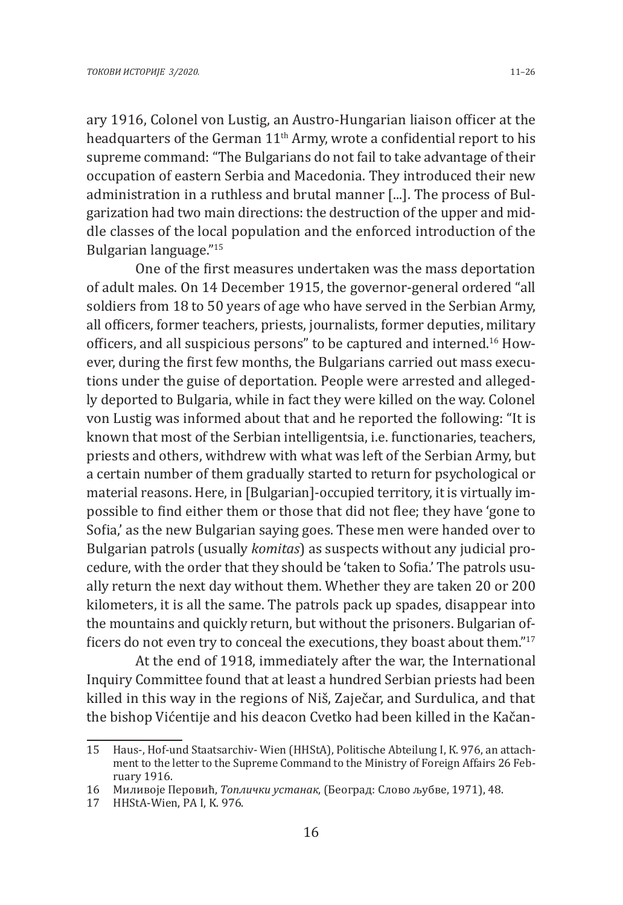ary 1916, Colonel von Lustig, an Austro-Hungarian liaison officer at the headquarters of the German 11<sup>th</sup> Army, wrote a confidential report to his supreme command: "The Bulgarians do not fail to take advantage of their occupation of eastern Serbia and Macedonia. They introduced their new administration in a ruthless and brutal manner [...]. The process of Bulgarization had two main directions: the destruction of the upper and middle classes of the local population and the enforced introduction of the Bulgarian language."<sup>15</sup>

One of the first measures undertaken was the mass deportation of adult males. On 14 December 1915, the governor-general ordered "all soldiers from 18 to 50 years of age who have served in the Serbian Army, all officers, former teachers, priests, journalists, former deputies, military officers, and all suspicious persons" to be captured and interned.16 However, during the first few months, the Bulgarians carried out mass executions under the guise of deportation. People were arrested and allegedly deported to Bulgaria, while in fact they were killed on the way. Colonel von Lustig was informed about that and he reported the following: "It is known that most of the Serbian intelligentsia, i.e. functionaries, teachers, priests and others, withdrew with what was left of the Serbian Army, but a certain number of them gradually started to return for psychological or material reasons. Here, in [Bulgarian]-occupied territory, it is virtually impossible to find either them or those that did not flee; they have 'gone to Sofia,' as the new Bulgarian saying goes. These men were handed over to Bulgarian patrols (usually *komitas*) as suspects without any judicial procedure, with the order that they should be 'taken to Sofia.' The patrols usually return the next day without them. Whether they are taken 20 or 200 kilometers, it is all the same. The patrols pack up spades, disappear into the mountains and quickly return, but without the prisoners. Bulgarian officers do not even try to conceal the executions, they boast about them."17

At the end of 1918, immediately after the war, the International Inquiry Committee found that at least a hundred Serbian priests had been killed in this way in the regions of Niš, Zaječar, and Surdulica, and that the bishop Vićentije and his deacon Cvetko had been killed in the Kačan-

<sup>15</sup> Haus-, Hof-und Staatsarchiv- Wien (HHStА), Politische Abteilung I, К. 976, an attachment to the letter to the Supreme Command to the Ministry of Foreign Affairs 26 February 1916.

<sup>16</sup> Миливоје Перовић, *Топлички устанак*, (Београд: Слово љубве, 1971), 48.

<sup>17</sup> HHStA-Wien, PA I, K. 976.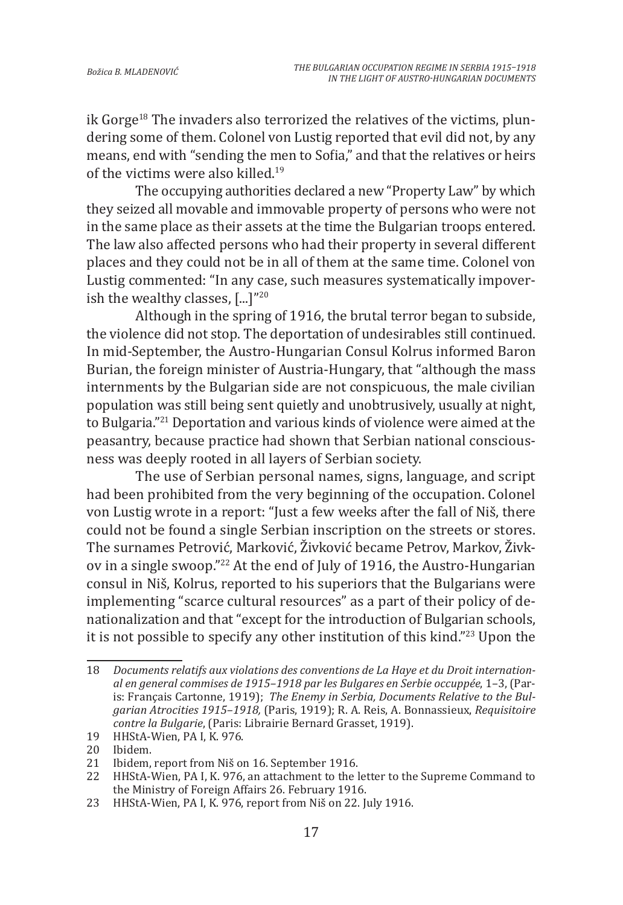ik Gorge<sup>18</sup> The invaders also terrorized the relatives of the victims, plundering some of them. Colonel von Lustig reported that evil did not, by any means, end with "sending the men to Sofia," and that the relatives or heirs of the victims were also killed.<sup>19</sup>

The occupying authorities declared a new "Property Law" by which they seized all movable and immovable property of persons who were not in the same place as their assets at the time the Bulgarian troops entered. The law also affected persons who had their property in several different places and they could not be in all of them at the same time. Colonel von Lustig commented: "In any case, such measures systematically impoverish the wealthy classes, [...]"<sup>20</sup>

Although in the spring of 1916, the brutal terror began to subside, the violence did not stop. The deportation of undesirables still continued. In mid-September, the Austro-Hungarian Consul Kolrus informed Baron Burian, the foreign minister of Austria-Hungary, that "although the mass internments by the Bulgarian side are not conspicuous, the male civilian population was still being sent quietly and unobtrusively, usually at night, to Bulgaria."21 Deportation and various kinds of violence were aimed at the peasantry, because practice had shown that Serbian national consciousness was deeply rooted in all layers of Serbian society.

The use of Serbian personal names, signs, language, and script had been prohibited from the very beginning of the occupation. Colonel von Lustig wrote in a report: "Just a few weeks after the fall of Niš, there could not be found a single Serbian inscription on the streets or stores. The surnames Petrović, Marković, Živković became Petrov, Markov, Živkov in a single swoop."<sup>22</sup> At the end of July of 1916, the Austro-Hungarian consul in Niš, Kolrus, reported to his superiors that the Bulgarians were implementing "scarce cultural resources" as a part of their policy of denationalization and that "except for the introduction of Bulgarian schools, it is not possible to specify any other institution of this kind."<sup>23</sup> Upon the

19 HHStA-Wien, PA I, K. 976.

<sup>18</sup> *Documents relatifs aux violations des conventions de La Haye et du Droit international en general commises de 1915–1918 par les Bulgares en Serbie occuppée*, 1–3, (Paris: Français Cartonne, 1919); *The Enemy in Serbia, Documents Relative to the Bulgarian Atrocities 1915–1918,* (Paris, 1919); R. A. Reis, A. Bonnassieux, *Requisitoire contre la Bulgarie*, (Paris: Librairie Bernard Grasset, 1919).

<sup>20</sup> Ibidem.<br>21 Ibidem.

<sup>21</sup> Ibidem, report from Niš on 16. September 1916.

<sup>22</sup> HHStA-Wien, PA I, K. 976, an attachment to the letter to the Supreme Command to the Ministry of Foreign Affairs 26. February 1916.

<sup>23</sup> HHStA-Wien, PA I, K. 976, report from Niš on 22. July 1916.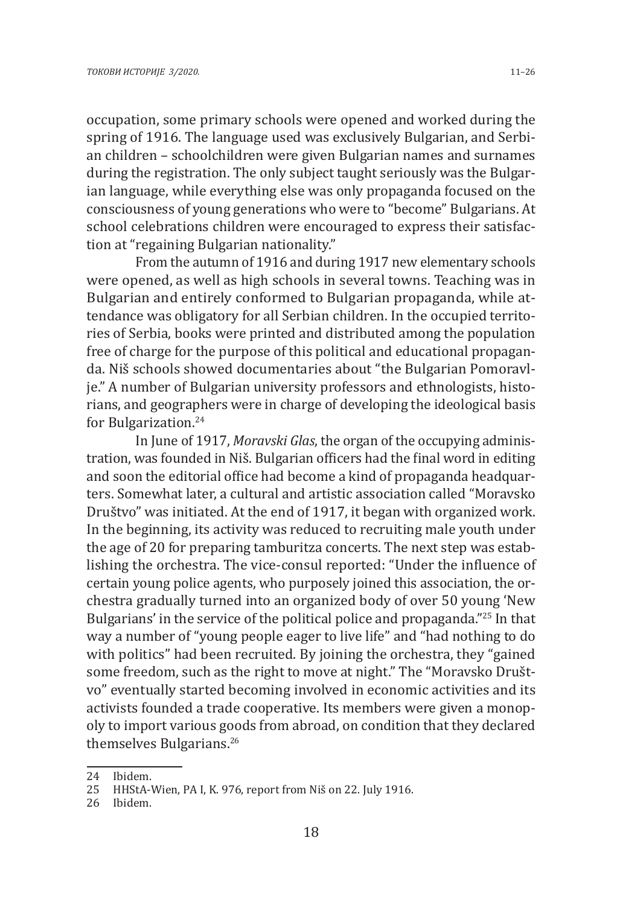occupation, some primary schools were opened and worked during the spring of 1916. The language used was exclusively Bulgarian, and Serbian children – schoolchildren were given Bulgarian names and surnames during the registration. The only subject taught seriously was the Bulgarian language, while everything else was only propaganda focused on the consciousness of young generations who were to "become" Bulgarians. At school celebrations children were encouraged to express their satisfaction at "regaining Bulgarian nationality."

From the autumn of 1916 and during 1917 new elementary schools were opened, as well as high schools in several towns. Teaching was in Bulgarian and entirely conformed to Bulgarian propaganda, while attendance was obligatory for all Serbian children. In the occupied territories of Serbia, books were printed and distributed among the population free of charge for the purpose of this political and educational propaganda. Niš schools showed documentaries about "the Bulgarian Pomoravlje." A number of Bulgarian university professors and ethnologists, historians, and geographers were in charge of developing the ideological basis for Bulgarization.24

In June of 1917, *Moravski Glas*, the organ of the occupying administration, was founded in Niš. Bulgarian officers had the final word in editing and soon the editorial office had become a kind of propaganda headquarters. Somewhat later, a cultural and artistic association called "Moravsko Društvo" was initiated. At the end of 1917, it began with organized work. In the beginning, its activity was reduced to recruiting male youth under the age of 20 for preparing tamburitza concerts. The next step was establishing the orchestra. The vice-consul reported: "Under the influence of certain young police agents, who purposely joined this association, the orchestra gradually turned into an organized body of over 50 young 'New Bulgarians' in the service of the political police and propaganda."25 In that way a number of "young people eager to live life" and "had nothing to do with politics" had been recruited. By joining the orchestra, they "gained some freedom, such as the right to move at night." The "Moravsko Društvo" eventually started becoming involved in economic activities and its activists founded a trade cooperative. Its members were given a monopoly to import various goods from abroad, on condition that they declared themselves Bulgarians.<sup>26</sup>

<sup>24</sup> Ibidem.<br>25 HHStA-

<sup>25</sup> HHStA-Wien, PA I, K. 976, report from Niš on 22. July 1916.

<sup>26</sup> Ibidem.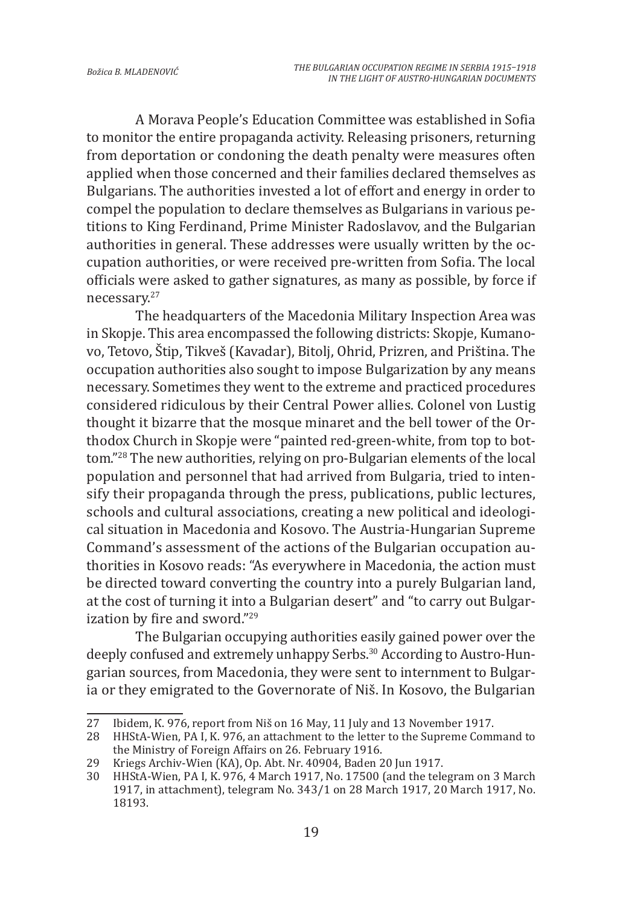A Morava People's Education Committee was established in Sofia to monitor the entire propaganda activity. Releasing prisoners, returning from deportation or condoning the death penalty were measures often applied when those concerned and their families declared themselves as Bulgarians. The authorities invested a lot of effort and energy in order to compel the population to declare themselves as Bulgarians in various petitions to King Ferdinand, Prime Minister Radoslavov, and the Bulgarian authorities in general. These addresses were usually written by the occupation authorities, or were received pre-written from Sofia. The local officials were asked to gather signatures, as many as possible, by force if necessary.<sup>27</sup>

The headquarters of the Macedonia Military Inspection Area was in Skopje. This area encompassed the following districts: Skopje, Kumanovo, Tetovo, Štip, Tikveš (Kavadar), Bitolj, Ohrid, Prizren, and Priština. The occupation authorities also sought to impose Bulgarization by any means necessary. Sometimes they went to the extreme and practiced procedures considered ridiculous by their Central Power allies. Colonel von Lustig thought it bizarre that the mosque minaret and the bell tower of the Orthodox Church in Skopje were "painted red-green-white, from top to bottom."28 The new authorities, relying on pro-Bulgarian elements of the local population and personnel that had arrived from Bulgaria, tried to intensify their propaganda through the press, publications, public lectures, schools and cultural associations, creating a new political and ideological situation in Macedonia and Kosovo. The Austria-Hungarian Supreme Command's assessment of the actions of the Bulgarian occupation authorities in Kosovo reads: "As everywhere in Macedonia, the action must be directed toward converting the country into a purely Bulgarian land, at the cost of turning it into a Bulgarian desert" and "to carry out Bulgarization by fire and sword."<sup>29</sup>

The Bulgarian occupying authorities easily gained power over the deeply confused and extremely unhappy Serbs.<sup>30</sup> According to Austro-Hungarian sources, from Macedonia, they were sent to internment to Bulgaria or they emigrated to the Governorate of Niš. In Kosovo, the Bulgarian

<sup>27</sup> Ibidem, K. 976, report from Niš on 16 May, 11 July and 13 November 1917.<br>28 HHStA-Wien. PA I. K. 976. an attachment to the letter to the Supreme Comi

HHStA-Wien, PA I, K. 976, an attachment to the letter to the Supreme Command to the Ministry of Foreign Affairs on 26. February 1916.

<sup>29</sup> Kriegs Archiv-Wien (KA), Op. Abt. Nr. 40904, Baden 20 Jun 1917.

<sup>30</sup> HHStA-Wien, PA I, K. 976, 4 March 1917, No. 17500 (and the telegram on 3 March 1917, in attachment), telegram No. 343/1 on 28 March 1917, 20 March 1917, No. 18193.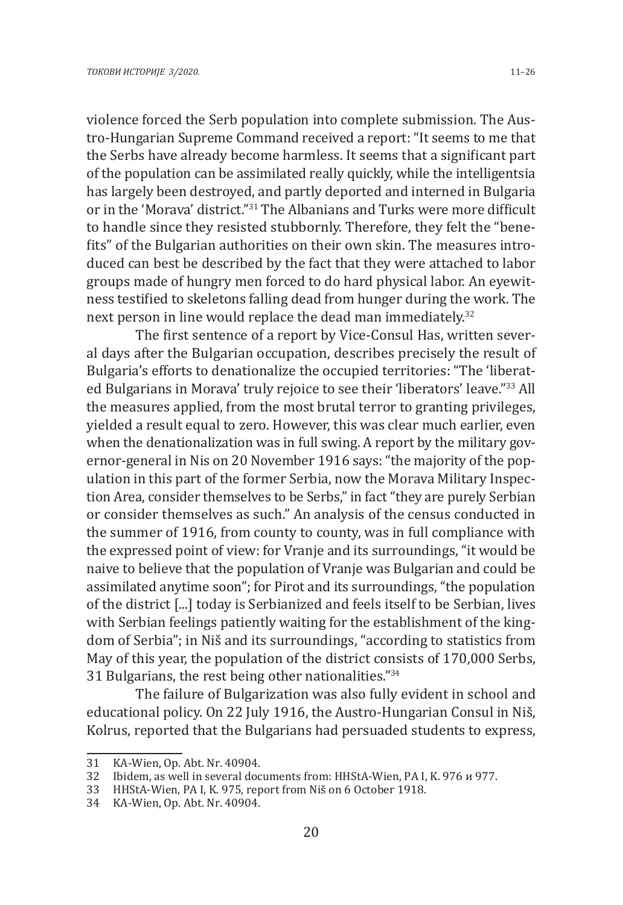violence forced the Serb population into complete submission. The Austro-Hungarian Supreme Command received a report: "It seems to me that the Serbs have already become harmless. It seems that a significant part of the population can be assimilated really quickly, while the intelligentsia has largely been destroyed, and partly deported and interned in Bulgaria or in the 'Morava' district."31 The Albanians and Turks were more difficult to handle since they resisted stubbornly. Therefore, they felt the "benefits" of the Bulgarian authorities on their own skin. The measures introduced can best be described by the fact that they were attached to labor groups made of hungry men forced to do hard physical labor. An eyewitness testified to skeletons falling dead from hunger during the work. The next person in line would replace the dead man immediately.<sup>32</sup>

The first sentence of a report by Vice-Consul Has, written several days after the Bulgarian occupation, describes precisely the result of Bulgaria's efforts to denationalize the occupied territories: "The 'liberated Bulgarians in Morava' truly rejoice to see their 'liberators' leave."<sup>33</sup> All the measures applied, from the most brutal terror to granting privileges, yielded a result equal to zero. However, this was clear much earlier, even when the denationalization was in full swing. A report by the military governor-general in Nis on 20 November 1916 says: "the majority of the population in this part of the former Serbia, now the Morava Military Inspection Area, consider themselves to be Serbs," in fact "they are purely Serbian or consider themselves as such." An analysis of the census conducted in the summer of 1916, from county to county, was in full compliance with the expressed point of view: for Vranje and its surroundings, "it would be naive to believe that the population of Vranje was Bulgarian and could be assimilated anytime soon"; for Pirot and its surroundings, "the population of the district [...] today is Serbianized and feels itself to be Serbian, lives with Serbian feelings patiently waiting for the establishment of the kingdom of Serbia"; in Niš and its surroundings, "according to statistics from May of this year, the population of the district consists of 170,000 Serbs, 31 Bulgarians, the rest being other nationalities."<sup>34</sup>

The failure of Bulgarization was also fully evident in school and educational policy. On 22 July 1916, the Austro-Hungarian Consul in Niš, Kolrus, reported that the Bulgarians had persuaded students to express,

<sup>31</sup> KA-Wien, Op. Abt. Nr. 40904.

<sup>32</sup> Ibidem, as well in several documents from: HHStA-Wien, PA I, K. 976 и 977.

<sup>33</sup> HHStA-Wien, PA I, K. 975, report from Niš on 6 October 1918.

<sup>34</sup> KA-Wien, Op. Abt. Nr. 40904.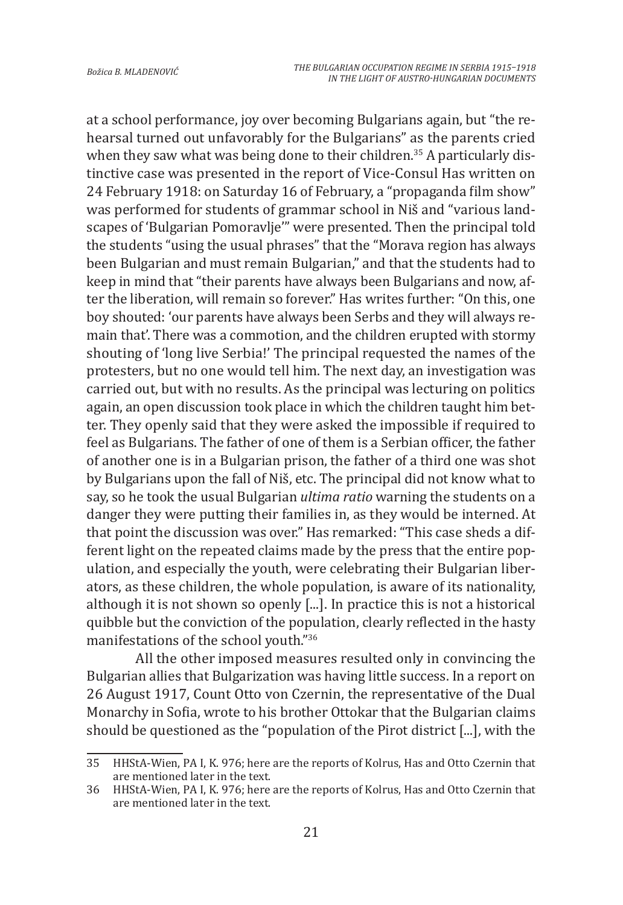at a school performance, joy over becoming Bulgarians again, but "the rehearsal turned out unfavorably for the Bulgarians" as the parents cried when they saw what was being done to their children.<sup>35</sup> A particularly distinctive case was presented in the report of Vice-Consul Has written on 24 February 1918: on Saturday 16 of February, a "propaganda film show" was performed for students of grammar school in Niš and "various landscapes of 'Bulgarian Pomoravlje'" were presented. Then the principal told the students "using the usual phrases" that the "Morava region has always been Bulgarian and must remain Bulgarian," and that the students had to keep in mind that "their parents have always been Bulgarians and now, after the liberation, will remain so forever." Has writes further: "On this, one boy shouted: 'our parents have always been Serbs and they will always remain that'. There was a commotion, and the children erupted with stormy shouting of 'long live Serbia!' The principal requested the names of the protesters, but no one would tell him. The next day, an investigation was carried out, but with no results. As the principal was lecturing on politics again, an open discussion took place in which the children taught him better. They openly said that they were asked the impossible if required to feel as Bulgarians. The father of one of them is a Serbian officer, the father of another one is in a Bulgarian prison, the father of a third one was shot by Bulgarians upon the fall of Niš, etc. The principal did not know what to say, so he took the usual Bulgarian *ultima ratio* warning the students on a danger they were putting their families in, as they would be interned. At that point the discussion was over." Has remarked: "This case sheds a different light on the repeated claims made by the press that the entire population, and especially the youth, were celebrating their Bulgarian liberators, as these children, the whole population, is aware of its nationality, although it is not shown so openly [...]. In practice this is not a historical quibble but the conviction of the population, clearly reflected in the hasty manifestations of the school youth."<sup>36</sup>

All the other imposed measures resulted only in convincing the Bulgarian allies that Bulgarization was having little success. In a report on 26 August 1917, Count Otto von Czernin, the representative of the Dual Monarchy in Sofia, wrote to his brother Ottokar that the Bulgarian claims should be questioned as the "population of the Pirot district [...], with the

<sup>35</sup> HHStA-Wien, PA I, K. 976; here are the reports of Kolrus, Has and Otto Czernin that are mentioned later in the text.

<sup>36</sup> HHStA-Wien, PA I, K. 976; here are the reports of Kolrus, Has and Otto Czernin that are mentioned later in the text.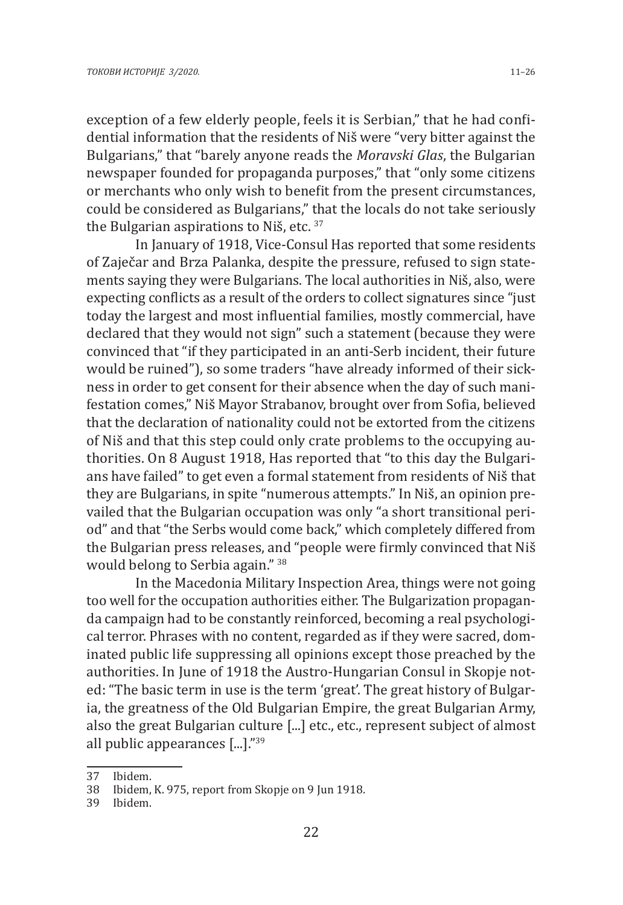exception of a few elderly people, feels it is Serbian," that he had confidential information that the residents of Niš were "very bitter against the Bulgarians," that "barely anyone reads the *Moravski Glas*, the Bulgarian newspaper founded for propaganda purposes," that "only some citizens or merchants who only wish to benefit from the present circumstances, could be considered as Bulgarians," that the locals do not take seriously the Bulgarian aspirations to Niš, etc. 37

In January of 1918, Vice-Consul Has reported that some residents of Zaječar and Brza Palanka, despite the pressure, refused to sign statements saying they were Bulgarians. The local authorities in Niš, also, were expecting conflicts as a result of the orders to collect signatures since "just today the largest and most influential families, mostly commercial, have declared that they would not sign" such a statement (because they were convinced that "if they participated in an anti-Serb incident, their future would be ruined"), so some traders "have already informed of their sickness in order to get consent for their absence when the day of such manifestation comes," Niš Mayor Strabanov, brought over from Sofia, believed that the declaration of nationality could not be extorted from the citizens of Niš and that this step could only crate problems to the occupying authorities. On 8 August 1918, Has reported that "to this day the Bulgarians have failed" to get even a formal statement from residents of Niš that they are Bulgarians, in spite "numerous attempts." In Niš, an opinion prevailed that the Bulgarian occupation was only "a short transitional period" and that "the Serbs would come back," which completely differed from the Bulgarian press releases, and "people were firmly convinced that Niš would belong to Serbia again." <sup>38</sup>

In the Macedonia Military Inspection Area, things were not going too well for the occupation authorities either. The Bulgarization propaganda campaign had to be constantly reinforced, becoming a real psychological terror. Phrases with no content, regarded as if they were sacred, dominated public life suppressing all opinions except those preached by the authorities. In June of 1918 the Austro-Hungarian Consul in Skopje noted: "The basic term in use is the term 'great'. The great history of Bulgaria, the greatness of the Old Bulgarian Empire, the great Bulgarian Army, also the great Bulgarian culture [...] etc., etc., represent subject of almost all public appearances [...]."<sup>39</sup>

<sup>37</sup> Ibidem.

<sup>38</sup> Ibidem, K. 975, report from Skopje on 9 Jun 1918.

<sup>39</sup> Ibidem.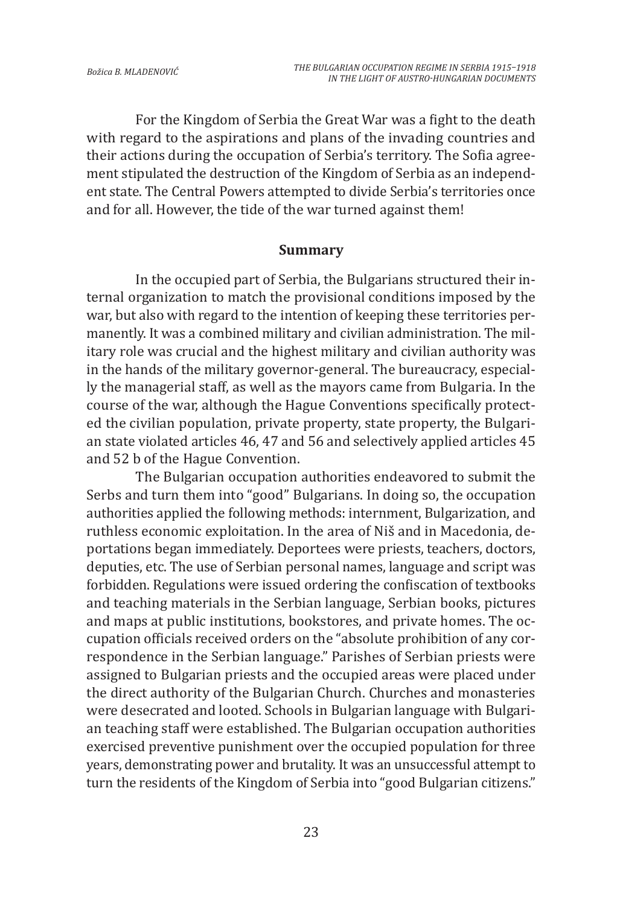For the Kingdom of Serbia the Great War was a fight to the death with regard to the aspirations and plans of the invading countries and their actions during the occupation of Serbia's territory. The Sofia agreement stipulated the destruction of the Kingdom of Serbia as an independent state. The Central Powers attempted to divide Serbia's territories once and for all. However, the tide of the war turned against them!

#### **Summary**

In the occupied part of Serbia, the Bulgarians structured their internal organization to match the provisional conditions imposed by the war, but also with regard to the intention of keeping these territories permanently. It was a combined military and civilian administration. The military role was crucial and the highest military and civilian authority was in the hands of the military governor-general. The bureaucracy, especially the managerial staff, as well as the mayors came from Bulgaria. In the course of the war, although the Hague Conventions specifically protected the civilian population, private property, state property, the Bulgarian state violated articles 46, 47 and 56 and selectively applied articles 45 and 52 b of the Hague Convention.

The Bulgarian occupation authorities endeavored to submit the Serbs and turn them into "good" Bulgarians. In doing so, the occupation authorities applied the following methods: internment, Bulgarization, and ruthless economic exploitation. In the area of Niš and in Macedonia, deportations began immediately. Deportees were priests, teachers, doctors, deputies, etc. The use of Serbian personal names, language and script was forbidden. Regulations were issued ordering the confiscation of textbooks and teaching materials in the Serbian language, Serbian books, pictures and maps at public institutions, bookstores, and private homes. The occupation officials received orders on the "absolute prohibition of any correspondence in the Serbian language." Parishes of Serbian priests were assigned to Bulgarian priests and the occupied areas were placed under the direct authority of the Bulgarian Church. Churches and monasteries were desecrated and looted. Schools in Bulgarian language with Bulgarian teaching staff were established. The Bulgarian occupation authorities exercised preventive punishment over the occupied population for three years, demonstrating power and brutality. It was an unsuccessful attempt to turn the residents of the Kingdom of Serbia into "good Bulgarian citizens."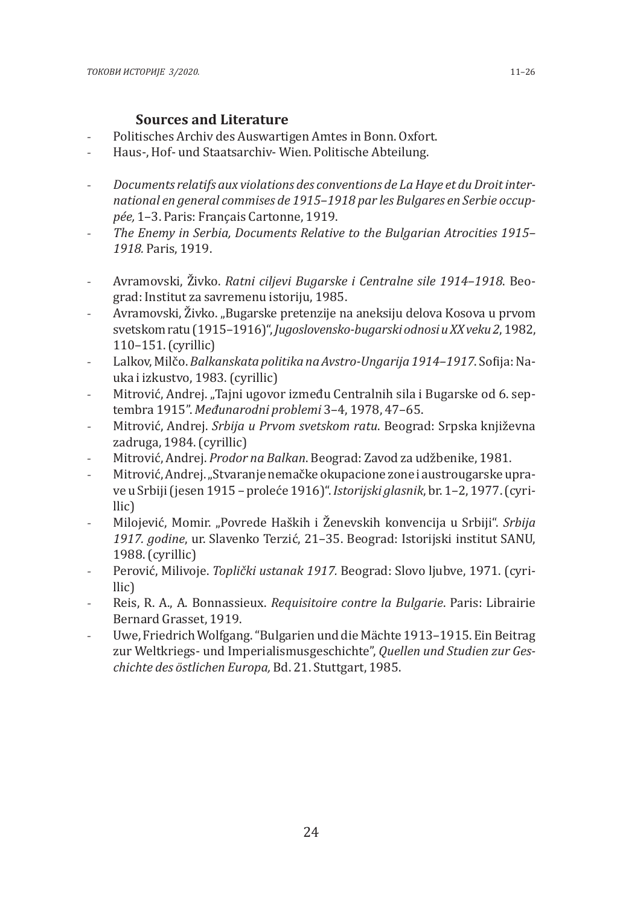## **Sources and Literature**

- Politisches Archiv des Auswartigen Amtes in Bonn. Oxfort.
- Haus-, Hof- und Staatsarchiv- Wien. Politische Abteilung.
- *Documents relatifs aux violations des conventions de La Haye et du Droit international en general commises de 1915–1918 par les Bulgares en Serbie occuppée,* 1–3. Paris: Français Cartonne, 1919.
- *The Enemy in Serbia, Documents Relative to the Bulgarian Atrocities 1915– 1918.* Paris, 1919.
- Avramovski, Živko. *Ratni ciljevi Bugarske i Centralne sile 1914–1918*. Beograd: Institut za savremenu istoriju, 1985.
- Avramovski, Živko. "Bugarske pretenzije na aneksiju delova Kosova u prvom svetskom ratu (1915–1916)", *Jugoslovensko-bugarski odnosi u XX veku 2*, 1982, 110–151. (cyrillic)
- Lalkov, Milčo. *Balkanskata politika na Avstro-Ungarija 1914–1917*. Sofija: Nauka i izkustvo, 1983. (cyrillic)
- Mitrović, Andrej. "Tajni ugovor između Centralnih sila i Bugarske od 6. septembra 1915". *Međunarodni problemi* 3–4, 1978, 47–65.
- Mitrović, Andrej. *Srbija u Prvom svetskom ratu*. Beograd: Srpska književna zadruga, 1984. (cyrillic)
- Mitrović, Andrej. *Prodor na Balkan*. Beograd: Zavod za udžbenike, 1981.
- Mitrović, Andrej. "Stvaranje nemačke okupacione zone i austrougarske uprave u Srbiji (jesen 1915 – proleće 1916)". *Istorijski glasnik*, br. 1–2, 1977. (cyrillic)
- Milojević, Momir. "Povrede Haških i Ženevskih konvencija u Srbiji". *Srbija 1917. godine*, ur. Slavenko Terzić, 21–35. Beograd: Istorijski institut SANU, 1988. (cyrillic)
- Perović, Milivoje. *Toplički ustanak 1917.* Beograd: Slovo ljubve, 1971. (cyrillic)
- Reis, R. A., A. Bonnassieux. *Requisitoire contre la Bulgarie*. Paris: Librairie Bernard Grasset, 1919.
- Uwe, Friedrich Wolfgang. "Bulgarien und die Mächte 1913–1915. Ein Beitrag zur Weltkriegs- und Imperialismusgeschichte", *Quellen und Studien zur Geschichte des östlichen Europa,* Bd. 21. Stuttgart, 1985.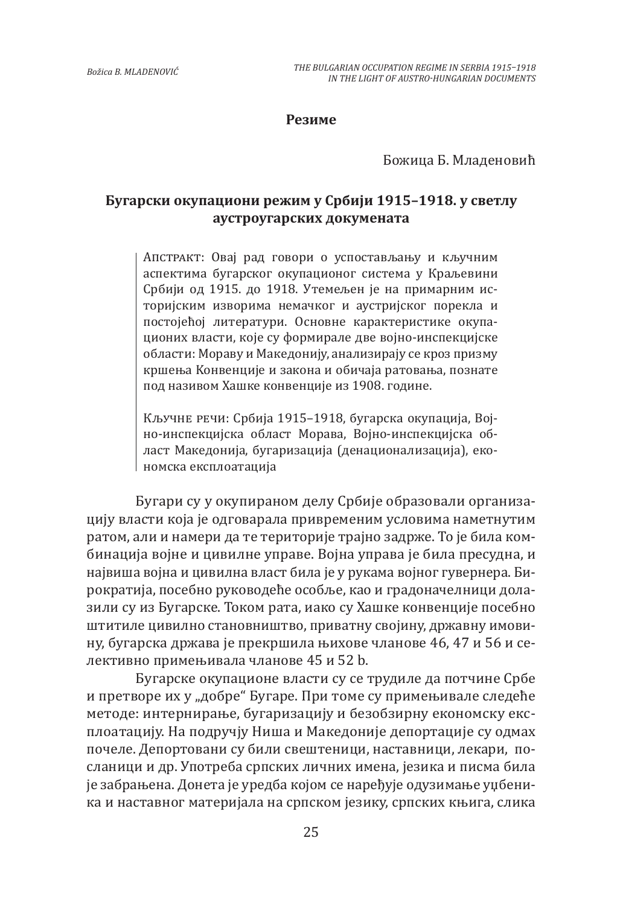### **Резиме**

Божица Б. Младеновић

## **Бугарски окупациони режим у Србији 1915–1918. у светлу аустроугарских докумената**

Апстракт: Oвај рад говори o успостављању и кључним aспектима бугарског oкупационог система у Краљевини Србији oд 1915. дo 1918. Утемељен је на примарним историјским изворима немачког и аустријског порекла и постојећој литератури. Основне карактеристике окупационих власти, кoje су формирале две војно-инспекцијске области: Moрaву и Maкeдoнију, aнализирају се кроз призму кршења Koнвенције и закона и oбичаја ратовања, познате под називом Хашке конвенције из 1908. године.

Кључне речи: Србија 1915–1918, бугарска окупација, Војно-инспекцијска област Moрава, Војно-инспекцијска област Maкедонија, бугаризација (денационализација), eкономска експлоатација

Бугари су у окупираном делу Србије образовали организацију власти која је одговарала привременим условима наметнутим ратом, али и намери да те територије трајно задрже. To je била комбинација војне и цивилне управе. Војна управа је била пресудна, и највиша војна и цивилна власт била јe у рукама војног гувернера. Бирократија, посебно руководеће особље, као и градоначелници долазили су из Бугарске. Током рата, иако су Хашке конвенције посебно штитиле цивилно становништво, приватну својину, државну имовину, бугарска држава је прекршила њихове чланове 46, 47 и 56 и селективно примењивала чланове 45 и 52 b.

Бугарске окупационе власти су се трудиле да потчине Србе и претворе их у "добре" Бугаре. При томе су примењивале следеће методе: интернирање, бугаризацију и безобзирну економску експлоатацију. На подручју Ниша и Maкедоније депортације су одмах почеле. Депортовани су били свештеници, наставници, лекари, посланици и др. Употреба српских личних имена, jeзика и писма била је забрањена. Донета је уредба којом се наређује oдузимање уџбеника и наставног материјала на српском језику, српских књига, слика